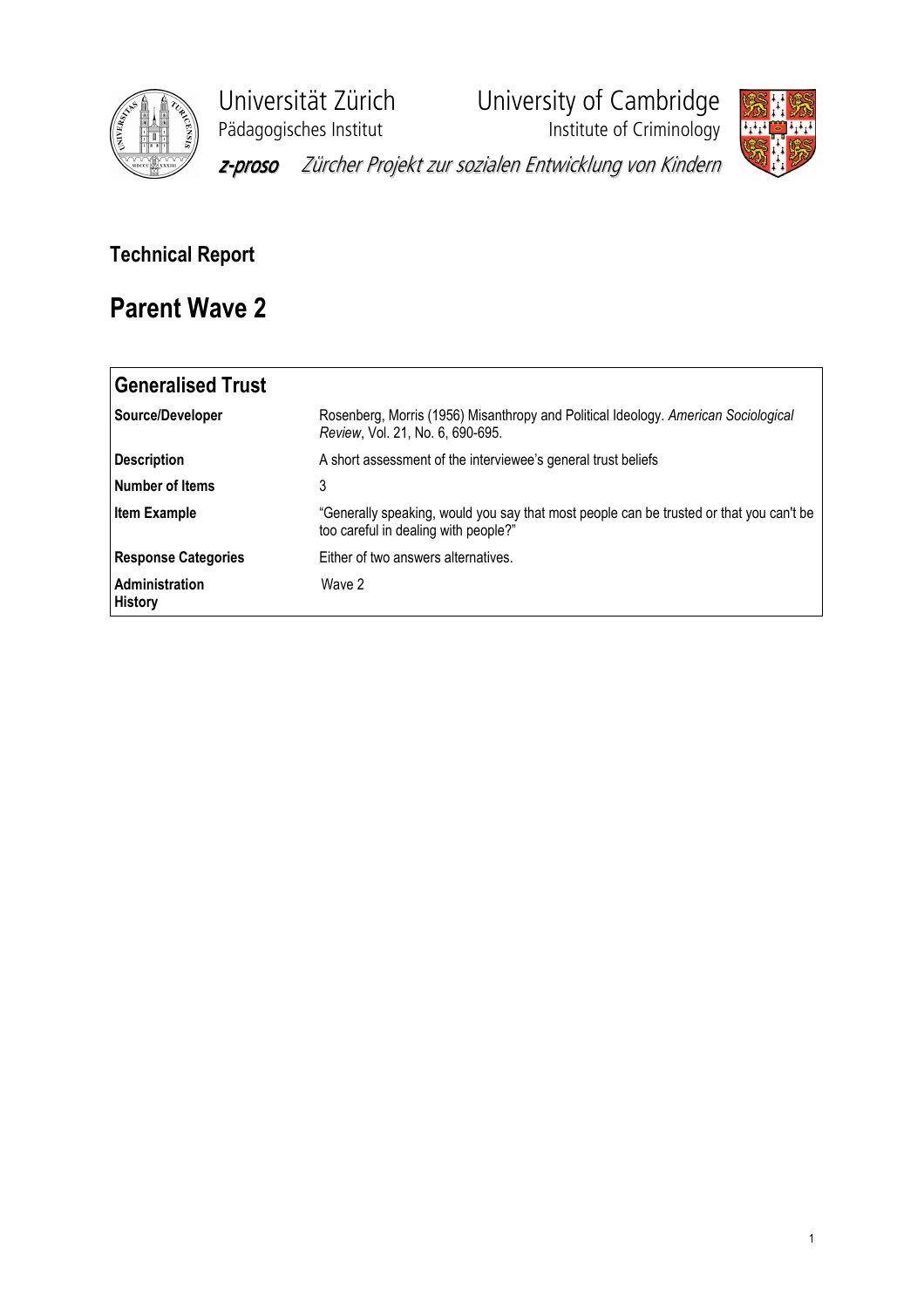

Universität Zürich<br>
Pädagogisches Institut<br>
Institute of Criminology

**Phagagogisches**<br>Institute of Criminology



z-proso Zürcher Projekt zur sozialen Entwicklung von Kindern

## Technical Report

## Parent Wave 2

| <b>Generalised Trust</b>         |                                                                                                                                 |
|----------------------------------|---------------------------------------------------------------------------------------------------------------------------------|
| Source/Developer                 | Rosenberg, Morris (1956) Misanthropy and Political Ideology. American Sociological<br>Review, Vol. 21, No. 6, 690-695.          |
| <b>Description</b>               | A short assessment of the interviewee's general trust beliefs                                                                   |
| Number of Items                  | 3                                                                                                                               |
| <b>Item Example</b>              | "Generally speaking, would you say that most people can be trusted or that you can't be<br>too careful in dealing with people?" |
| <b>Response Categories</b>       | Either of two answers alternatives.                                                                                             |
| Administration<br><b>History</b> | Wave 2                                                                                                                          |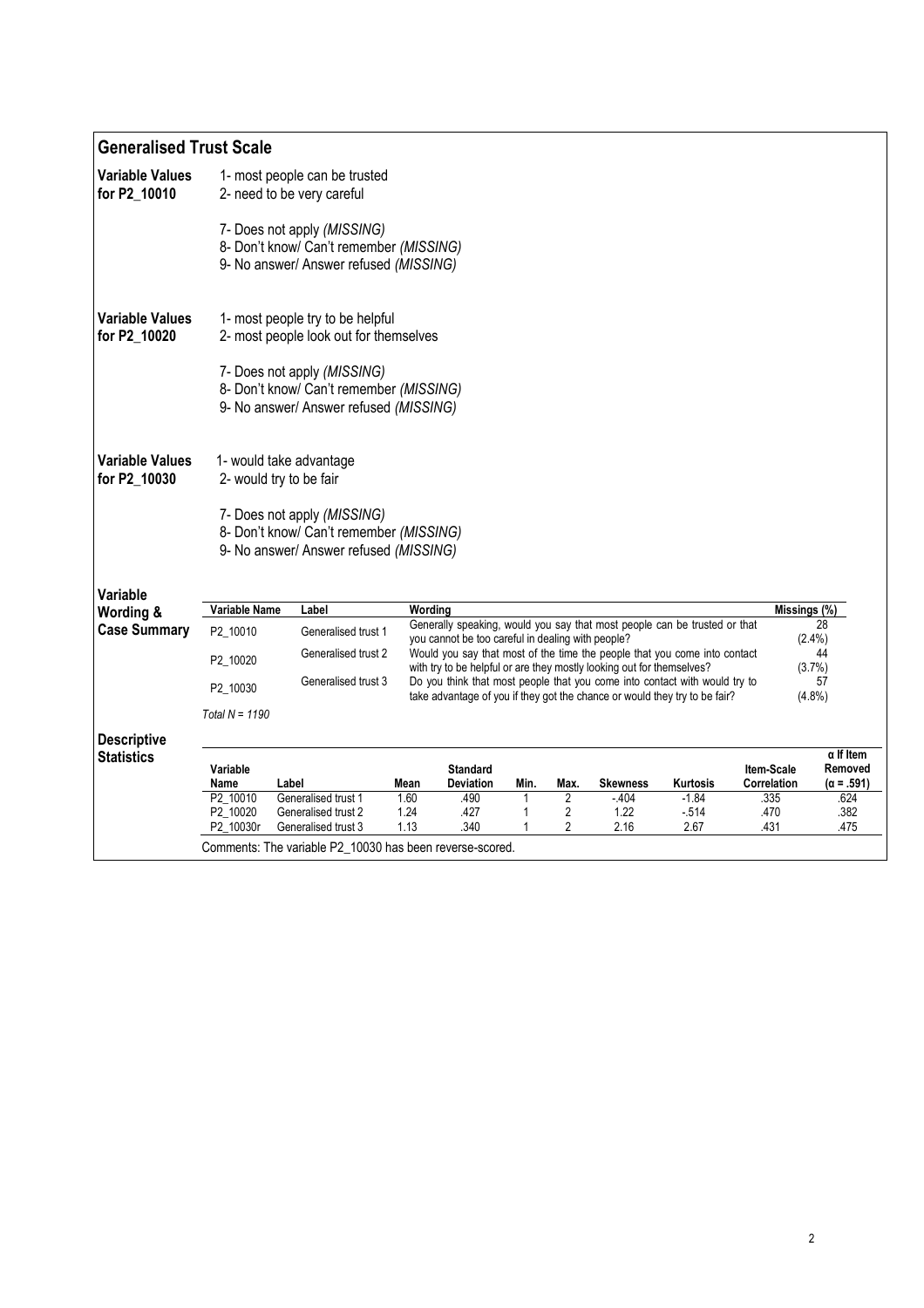| <b>Generalised Trust Scale</b>                                                                                                                                                                                                                                       |                                                                                                                                                                   |                                                                                                                  |         |                  |      |                           |                                                                           |          |              |                             |  |  |
|----------------------------------------------------------------------------------------------------------------------------------------------------------------------------------------------------------------------------------------------------------------------|-------------------------------------------------------------------------------------------------------------------------------------------------------------------|------------------------------------------------------------------------------------------------------------------|---------|------------------|------|---------------------------|---------------------------------------------------------------------------|----------|--------------|-----------------------------|--|--|
| <b>Variable Values</b><br>for P2_10010                                                                                                                                                                                                                               |                                                                                                                                                                   | 1- most people can be trusted<br>2- need to be very careful                                                      |         |                  |      |                           |                                                                           |          |              |                             |  |  |
|                                                                                                                                                                                                                                                                      |                                                                                                                                                                   | 7- Does not apply (MISSING)<br>8- Don't know/ Can't remember (MISSING)<br>9- No answer/ Answer refused (MISSING) |         |                  |      |                           |                                                                           |          |              |                             |  |  |
| <b>Variable Values</b><br>for P2_10020                                                                                                                                                                                                                               |                                                                                                                                                                   | 1- most people try to be helpful<br>2- most people look out for themselves                                       |         |                  |      |                           |                                                                           |          |              |                             |  |  |
|                                                                                                                                                                                                                                                                      |                                                                                                                                                                   | 7- Does not apply (MISSING)<br>8- Don't know/ Can't remember (MISSING)<br>9- No answer/ Answer refused (MISSING) |         |                  |      |                           |                                                                           |          |              |                             |  |  |
| <b>Variable Values</b><br>for P2 10030                                                                                                                                                                                                                               | 1- would take advantage<br>2- would try to be fair                                                                                                                |                                                                                                                  |         |                  |      |                           |                                                                           |          |              |                             |  |  |
|                                                                                                                                                                                                                                                                      |                                                                                                                                                                   | 7- Does not apply (MISSING)<br>8- Don't know/ Can't remember (MISSING)<br>9- No answer/ Answer refused (MISSING) |         |                  |      |                           |                                                                           |          |              |                             |  |  |
| Variable                                                                                                                                                                                                                                                             |                                                                                                                                                                   |                                                                                                                  |         |                  |      |                           |                                                                           |          |              |                             |  |  |
| Wording &                                                                                                                                                                                                                                                            | <b>Variable Name</b>                                                                                                                                              | Label                                                                                                            | Wording |                  |      |                           |                                                                           |          | Missings (%) |                             |  |  |
| <b>Case Summary</b>                                                                                                                                                                                                                                                  | P2_10010                                                                                                                                                          | Generalised trust 1                                                                                              |         |                  |      |                           | Generally speaking, would you say that most people can be trusted or that |          |              | 28<br>$(2.4\%)$             |  |  |
|                                                                                                                                                                                                                                                                      | you cannot be too careful in dealing with people?<br>Generalised trust 2<br>Would you say that most of the time the people that you come into contact<br>P2 10020 |                                                                                                                  |         |                  |      |                           |                                                                           |          | 44           |                             |  |  |
| with try to be helpful or are they mostly looking out for themselves?<br>Generalised trust 3<br>Do you think that most people that you come into contact with would try to<br>P2 10030<br>take advantage of you if they got the chance or would they try to be fair? |                                                                                                                                                                   |                                                                                                                  |         |                  |      | (3.7%)<br>57<br>$(4.8\%)$ |                                                                           |          |              |                             |  |  |
|                                                                                                                                                                                                                                                                      | Total $N = 1190$                                                                                                                                                  |                                                                                                                  |         |                  |      |                           |                                                                           |          |              |                             |  |  |
| <b>Descriptive</b><br><b>Statistics</b>                                                                                                                                                                                                                              | Variable                                                                                                                                                          |                                                                                                                  |         | <b>Standard</b>  |      |                           |                                                                           |          | Item-Scale   | $\alpha$ If Item<br>Removed |  |  |
|                                                                                                                                                                                                                                                                      | Name                                                                                                                                                              | Label                                                                                                            | Mean    | <b>Deviation</b> | Min. | Max.                      | <b>Skewness</b>                                                           | Kurtosis | Correlation  | (α = .591)                  |  |  |
|                                                                                                                                                                                                                                                                      | P2 10010                                                                                                                                                          | Generalised trust 1                                                                                              | 1.60    | .490             |      | 2                         | $-404$                                                                    | $-1.84$  | .335         | .624                        |  |  |
|                                                                                                                                                                                                                                                                      | P2 10020                                                                                                                                                          | Generalised trust 2                                                                                              | 1.24    | .427             | 1    | 2                         | 1.22                                                                      | $-514$   | .470         | .382                        |  |  |
|                                                                                                                                                                                                                                                                      | P2_10030r                                                                                                                                                         | Generalised trust 3                                                                                              | 1.13    | .340             |      | 2                         | 2.16                                                                      | 2.67     | .431         | .475                        |  |  |
|                                                                                                                                                                                                                                                                      | Comments: The variable P2_10030 has been reverse-scored.                                                                                                          |                                                                                                                  |         |                  |      |                           |                                                                           |          |              |                             |  |  |